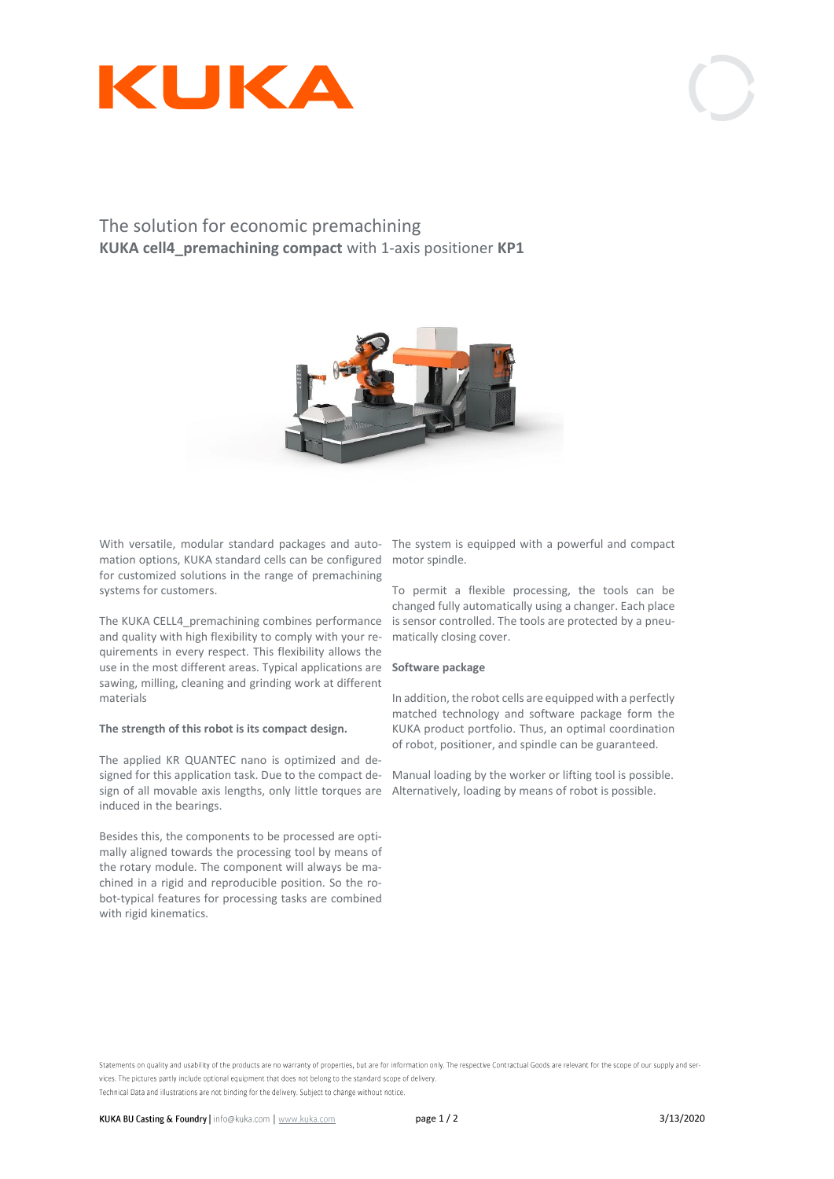

# The solution for economic premachining **KUKA cell4\_premachining compact** with 1-axis positioner **KP1**



With versatile, modular standard packages and auto-The system is equipped with a powerful and compact mation options, KUKA standard cells can be configured motor spindle. for customized solutions in the range of premachining systems for customers.

The KUKA CELL4\_premachining combines performance is sensor controlled. The tools are protected by a pneuand quality with high flexibility to comply with your requirements in every respect. This flexibility allows the use in the most different areas. Typical applications are **Software package** sawing, milling, cleaning and grinding work at different materials

### **The strength of this robot is its compact design.**

The applied KR QUANTEC nano is optimized and designed for this application task. Due to the compact de-Manual loading by the worker or lifting tool is possible. sign of all movable axis lengths, only little torques are Alternatively, loading by means of robot is possible.induced in the bearings.

Besides this, the components to be processed are optimally aligned towards the processing tool by means of the rotary module. The component will always be machined in a rigid and reproducible position. So the robot-typical features for processing tasks are combined with rigid kinematics.

To permit a flexible processing, the tools can be changed fully automatically using a changer. Each place matically closing cover.

In addition, the robot cells are equipped with a perfectly matched technology and software package form the KUKA product portfolio. Thus, an optimal coordination of robot, positioner, and spindle can be guaranteed.

Statements on quality and usability of the products are no warranty of properties, but are for information only. The respective Contractual Goods are relevant for the scope of our supply and services. The pictures partly include optional equipment that does not belong to the standard scope of delivery. Technical Data and illustrations are not binding for the delivery. Subject to change without notice.